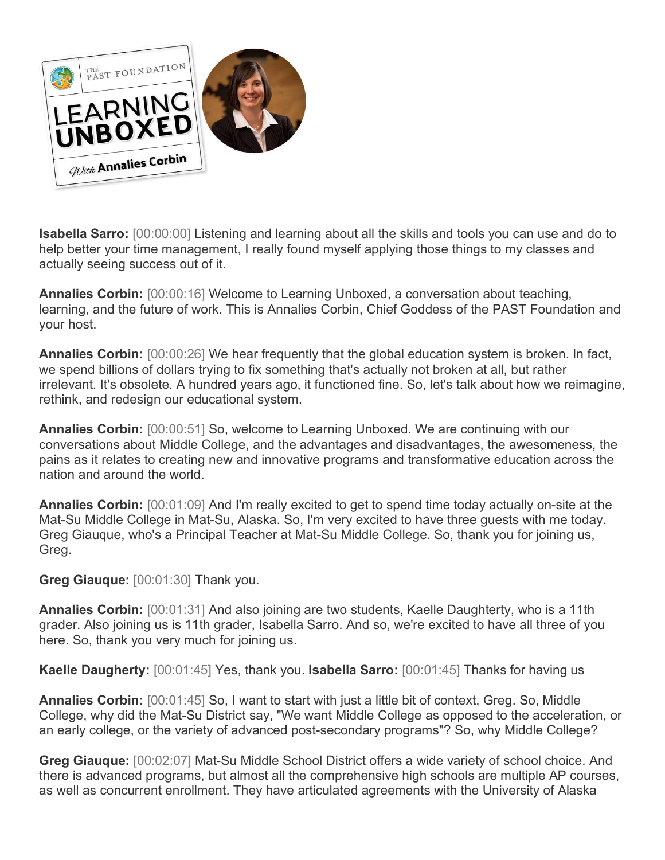

**Isabella Sarro:** [00:00:00] Listening and learning about all the skills and tools you can use and do to help better your time management, I really found myself applying those things to my classes and actually seeing success out of it.

**Annalies Corbin:** [00:00:16] Welcome to Learning Unboxed, a conversation about teaching, learning, and the future of work. This is Annalies Corbin, Chief Goddess of the PAST Foundation and your host.

**Annalies Corbin:** [00:00:26] We hear frequently that the global education system is broken. In fact, we spend billions of dollars trying to fix something that's actually not broken at all, but rather irrelevant. It's obsolete. A hundred years ago, it functioned fine. So, let's talk about how we reimagine, rethink, and redesign our educational system.

**Annalies Corbin:** [00:00:51] So, welcome to Learning Unboxed. We are continuing with our conversations about Middle College, and the advantages and disadvantages, the awesomeness, the pains as it relates to creating new and innovative programs and transformative education across the nation and around the world.

**Annalies Corbin:** [00:01:09] And I'm really excited to get to spend time today actually on-site at the Mat-Su Middle College in Mat-Su, Alaska. So, I'm very excited to have three guests with me today. Greg Giauque, who's a Principal Teacher at Mat-Su Middle College. So, thank you for joining us, Greg.

**Greg Giauque:** [00:01:30] Thank you.

**Annalies Corbin:** [00:01:31] And also joining are two students, Kaelle Daughterty, who is a 11th grader. Also joining us is 11th grader, Isabella Sarro. And so, we're excited to have all three of you here. So, thank you very much for joining us.

**Kaelle Daugherty:** [00:01:45] Yes, thank you. **Isabella Sarro:** [00:01:45] Thanks for having us

**Annalies Corbin:** [00:01:45] So, I want to start with just a little bit of context, Greg. So, Middle College, why did the Mat-Su District say, "We want Middle College as opposed to the acceleration, or an early college, or the variety of advanced post-secondary programs"? So, why Middle College?

**Greg Giauque:** [00:02:07] Mat-Su Middle School District offers a wide variety of school choice. And there is advanced programs, but almost all the comprehensive high schools are multiple AP courses, as well as concurrent enrollment. They have articulated agreements with the University of Alaska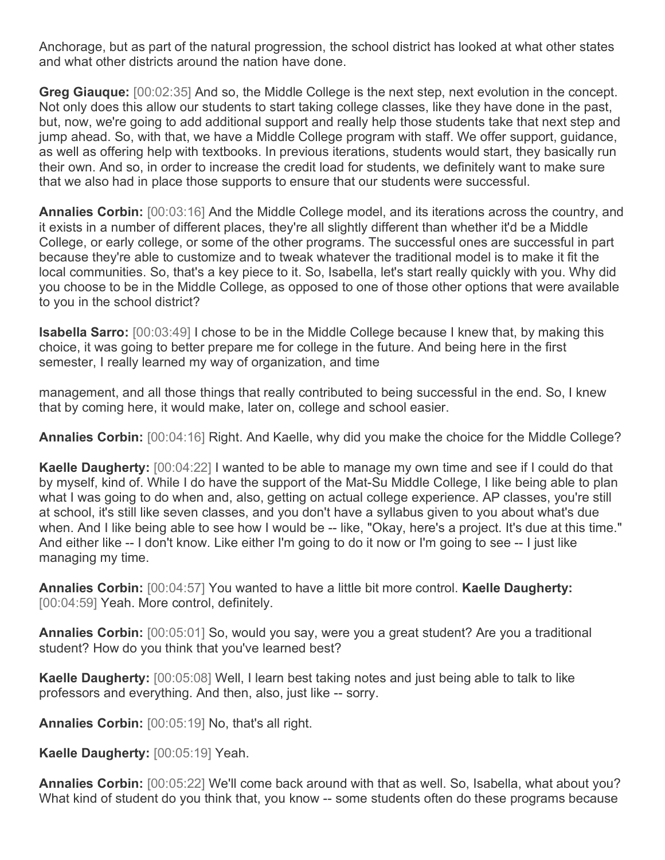Anchorage, but as part of the natural progression, the school district has looked at what other states and what other districts around the nation have done.

**Greg Giauque:** [00:02:35] And so, the Middle College is the next step, next evolution in the concept. Not only does this allow our students to start taking college classes, like they have done in the past, but, now, we're going to add additional support and really help those students take that next step and jump ahead. So, with that, we have a Middle College program with staff. We offer support, guidance, as well as offering help with textbooks. In previous iterations, students would start, they basically run their own. And so, in order to increase the credit load for students, we definitely want to make sure that we also had in place those supports to ensure that our students were successful.

**Annalies Corbin:** [00:03:16] And the Middle College model, and its iterations across the country, and it exists in a number of different places, they're all slightly different than whether it'd be a Middle College, or early college, or some of the other programs. The successful ones are successful in part because they're able to customize and to tweak whatever the traditional model is to make it fit the local communities. So, that's a key piece to it. So, Isabella, let's start really quickly with you. Why did you choose to be in the Middle College, as opposed to one of those other options that were available to you in the school district?

**Isabella Sarro:** [00:03:49] I chose to be in the Middle College because I knew that, by making this choice, it was going to better prepare me for college in the future. And being here in the first semester, I really learned my way of organization, and time

management, and all those things that really contributed to being successful in the end. So, I knew that by coming here, it would make, later on, college and school easier.

**Annalies Corbin:** [00:04:16] Right. And Kaelle, why did you make the choice for the Middle College?

**Kaelle Daugherty:** [00:04:22] I wanted to be able to manage my own time and see if I could do that by myself, kind of. While I do have the support of the Mat-Su Middle College, I like being able to plan what I was going to do when and, also, getting on actual college experience. AP classes, you're still at school, it's still like seven classes, and you don't have a syllabus given to you about what's due when. And I like being able to see how I would be -- like, "Okay, here's a project. It's due at this time." And either like -- I don't know. Like either I'm going to do it now or I'm going to see -- I just like managing my time.

**Annalies Corbin:** [00:04:57] You wanted to have a little bit more control. **Kaelle Daugherty:**  [00:04:59] Yeah. More control, definitely.

**Annalies Corbin:** [00:05:01] So, would you say, were you a great student? Are you a traditional student? How do you think that you've learned best?

**Kaelle Daugherty:** [00:05:08] Well, I learn best taking notes and just being able to talk to like professors and everything. And then, also, just like -- sorry.

**Annalies Corbin:** [00:05:19] No, that's all right.

**Kaelle Daugherty:** [00:05:19] Yeah.

**Annalies Corbin:** [00:05:22] We'll come back around with that as well. So, Isabella, what about you? What kind of student do you think that, you know -- some students often do these programs because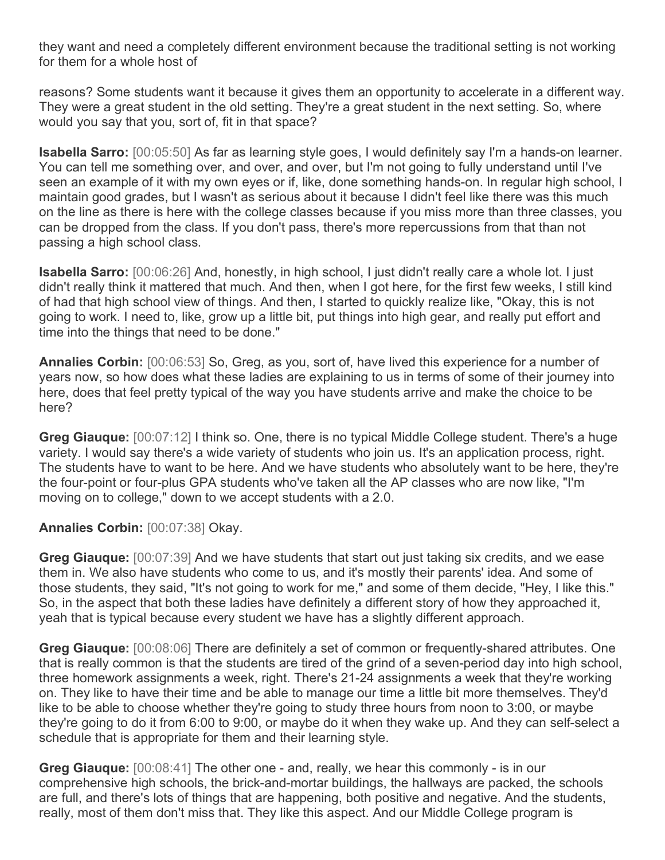they want and need a completely different environment because the traditional setting is not working for them for a whole host of

reasons? Some students want it because it gives them an opportunity to accelerate in a different way. They were a great student in the old setting. They're a great student in the next setting. So, where would you say that you, sort of, fit in that space?

**Isabella Sarro:** [00:05:50] As far as learning style goes, I would definitely say I'm a hands-on learner. You can tell me something over, and over, and over, but I'm not going to fully understand until I've seen an example of it with my own eyes or if, like, done something hands-on. In regular high school, I maintain good grades, but I wasn't as serious about it because I didn't feel like there was this much on the line as there is here with the college classes because if you miss more than three classes, you can be dropped from the class. If you don't pass, there's more repercussions from that than not passing a high school class.

**Isabella Sarro:** [00:06:26] And, honestly, in high school, I just didn't really care a whole lot. I just didn't really think it mattered that much. And then, when I got here, for the first few weeks, I still kind of had that high school view of things. And then, I started to quickly realize like, "Okay, this is not going to work. I need to, like, grow up a little bit, put things into high gear, and really put effort and time into the things that need to be done."

**Annalies Corbin:** [00:06:53] So, Greg, as you, sort of, have lived this experience for a number of years now, so how does what these ladies are explaining to us in terms of some of their journey into here, does that feel pretty typical of the way you have students arrive and make the choice to be here?

**Greg Giauque:** [00:07:12] I think so. One, there is no typical Middle College student. There's a huge variety. I would say there's a wide variety of students who join us. It's an application process, right. The students have to want to be here. And we have students who absolutely want to be here, they're the four-point or four-plus GPA students who've taken all the AP classes who are now like, "I'm moving on to college," down to we accept students with a 2.0.

## **Annalies Corbin:** [00:07:38] Okay.

**Greg Giauque:** [00:07:39] And we have students that start out just taking six credits, and we ease them in. We also have students who come to us, and it's mostly their parents' idea. And some of those students, they said, "It's not going to work for me," and some of them decide, "Hey, I like this." So, in the aspect that both these ladies have definitely a different story of how they approached it, yeah that is typical because every student we have has a slightly different approach.

**Greg Giauque:** [00:08:06] There are definitely a set of common or frequently-shared attributes. One that is really common is that the students are tired of the grind of a seven-period day into high school, three homework assignments a week, right. There's 21-24 assignments a week that they're working on. They like to have their time and be able to manage our time a little bit more themselves. They'd like to be able to choose whether they're going to study three hours from noon to 3:00, or maybe they're going to do it from 6:00 to 9:00, or maybe do it when they wake up. And they can self-select a schedule that is appropriate for them and their learning style.

**Greg Giauque:** [00:08:41] The other one - and, really, we hear this commonly - is in our comprehensive high schools, the brick-and-mortar buildings, the hallways are packed, the schools are full, and there's lots of things that are happening, both positive and negative. And the students, really, most of them don't miss that. They like this aspect. And our Middle College program is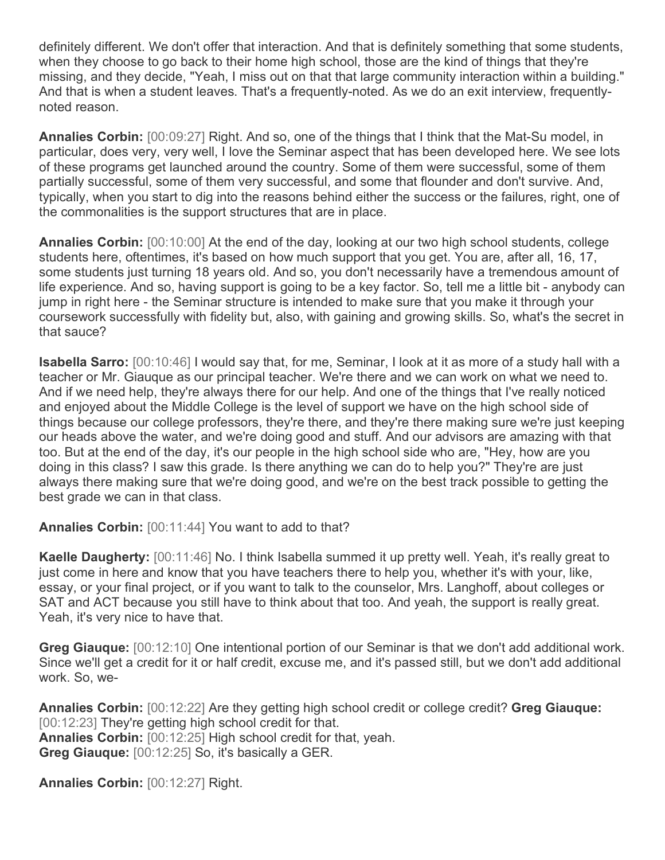definitely different. We don't offer that interaction. And that is definitely something that some students, when they choose to go back to their home high school, those are the kind of things that they're missing, and they decide, "Yeah, I miss out on that that large community interaction within a building." And that is when a student leaves. That's a frequently-noted. As we do an exit interview, frequentlynoted reason.

**Annalies Corbin:** [00:09:27] Right. And so, one of the things that I think that the Mat-Su model, in particular, does very, very well, I love the Seminar aspect that has been developed here. We see lots of these programs get launched around the country. Some of them were successful, some of them partially successful, some of them very successful, and some that flounder and don't survive. And, typically, when you start to dig into the reasons behind either the success or the failures, right, one of the commonalities is the support structures that are in place.

**Annalies Corbin:** [00:10:00] At the end of the day, looking at our two high school students, college students here, oftentimes, it's based on how much support that you get. You are, after all, 16, 17, some students just turning 18 years old. And so, you don't necessarily have a tremendous amount of life experience. And so, having support is going to be a key factor. So, tell me a little bit - anybody can jump in right here - the Seminar structure is intended to make sure that you make it through your coursework successfully with fidelity but, also, with gaining and growing skills. So, what's the secret in that sauce?

**Isabella Sarro:** [00:10:46] I would say that, for me, Seminar, I look at it as more of a study hall with a teacher or Mr. Giauque as our principal teacher. We're there and we can work on what we need to. And if we need help, they're always there for our help. And one of the things that I've really noticed and enjoyed about the Middle College is the level of support we have on the high school side of things because our college professors, they're there, and they're there making sure we're just keeping our heads above the water, and we're doing good and stuff. And our advisors are amazing with that too. But at the end of the day, it's our people in the high school side who are, "Hey, how are you doing in this class? I saw this grade. Is there anything we can do to help you?" They're are just always there making sure that we're doing good, and we're on the best track possible to getting the best grade we can in that class.

**Annalies Corbin:** [00:11:44] You want to add to that?

**Kaelle Daugherty:** [00:11:46] No. I think Isabella summed it up pretty well. Yeah, it's really great to just come in here and know that you have teachers there to help you, whether it's with your, like, essay, or your final project, or if you want to talk to the counselor, Mrs. Langhoff, about colleges or SAT and ACT because you still have to think about that too. And yeah, the support is really great. Yeah, it's very nice to have that.

**Greg Giauque:** [00:12:10] One intentional portion of our Seminar is that we don't add additional work. Since we'll get a credit for it or half credit, excuse me, and it's passed still, but we don't add additional work. So, we-

**Annalies Corbin:** [00:12:22] Are they getting high school credit or college credit? **Greg Giauque:**  [00:12:23] They're getting high school credit for that. **Annalies Corbin:** [00:12:25] High school credit for that, yeah. **Greg Giauque:** [00:12:25] So, it's basically a GER.

**Annalies Corbin:** [00:12:27] Right.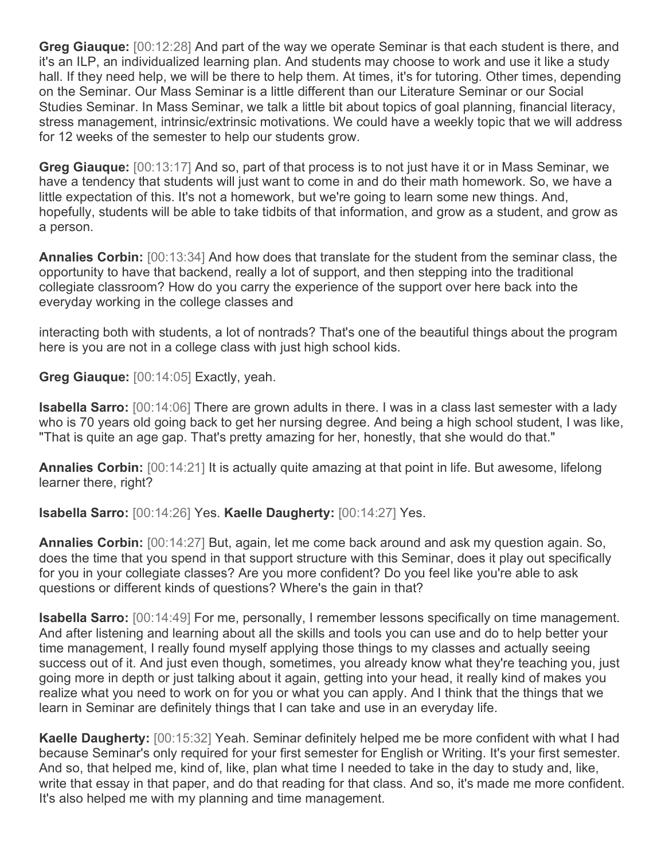**Greg Giauque:** [00:12:28] And part of the way we operate Seminar is that each student is there, and it's an ILP, an individualized learning plan. And students may choose to work and use it like a study hall. If they need help, we will be there to help them. At times, it's for tutoring. Other times, depending on the Seminar. Our Mass Seminar is a little different than our Literature Seminar or our Social Studies Seminar. In Mass Seminar, we talk a little bit about topics of goal planning, financial literacy, stress management, intrinsic/extrinsic motivations. We could have a weekly topic that we will address for 12 weeks of the semester to help our students grow.

**Greg Giauque:** [00:13:17] And so, part of that process is to not just have it or in Mass Seminar, we have a tendency that students will just want to come in and do their math homework. So, we have a little expectation of this. It's not a homework, but we're going to learn some new things. And, hopefully, students will be able to take tidbits of that information, and grow as a student, and grow as a person.

**Annalies Corbin:** [00:13:34] And how does that translate for the student from the seminar class, the opportunity to have that backend, really a lot of support, and then stepping into the traditional collegiate classroom? How do you carry the experience of the support over here back into the everyday working in the college classes and

interacting both with students, a lot of nontrads? That's one of the beautiful things about the program here is you are not in a college class with just high school kids.

**Greg Giauque:** [00:14:05] Exactly, yeah.

**Isabella Sarro:** [00:14:06] There are grown adults in there. I was in a class last semester with a lady who is 70 years old going back to get her nursing degree. And being a high school student, I was like, "That is quite an age gap. That's pretty amazing for her, honestly, that she would do that."

**Annalies Corbin:** [00:14:21] It is actually quite amazing at that point in life. But awesome, lifelong learner there, right?

**Isabella Sarro:** [00:14:26] Yes. **Kaelle Daugherty:** [00:14:27] Yes.

**Annalies Corbin:** [00:14:27] But, again, let me come back around and ask my question again. So, does the time that you spend in that support structure with this Seminar, does it play out specifically for you in your collegiate classes? Are you more confident? Do you feel like you're able to ask questions or different kinds of questions? Where's the gain in that?

**Isabella Sarro:** [00:14:49] For me, personally, I remember lessons specifically on time management. And after listening and learning about all the skills and tools you can use and do to help better your time management, I really found myself applying those things to my classes and actually seeing success out of it. And just even though, sometimes, you already know what they're teaching you, just going more in depth or just talking about it again, getting into your head, it really kind of makes you realize what you need to work on for you or what you can apply. And I think that the things that we learn in Seminar are definitely things that I can take and use in an everyday life.

**Kaelle Daugherty:** [00:15:32] Yeah. Seminar definitely helped me be more confident with what I had because Seminar's only required for your first semester for English or Writing. It's your first semester. And so, that helped me, kind of, like, plan what time I needed to take in the day to study and, like, write that essay in that paper, and do that reading for that class. And so, it's made me more confident. It's also helped me with my planning and time management.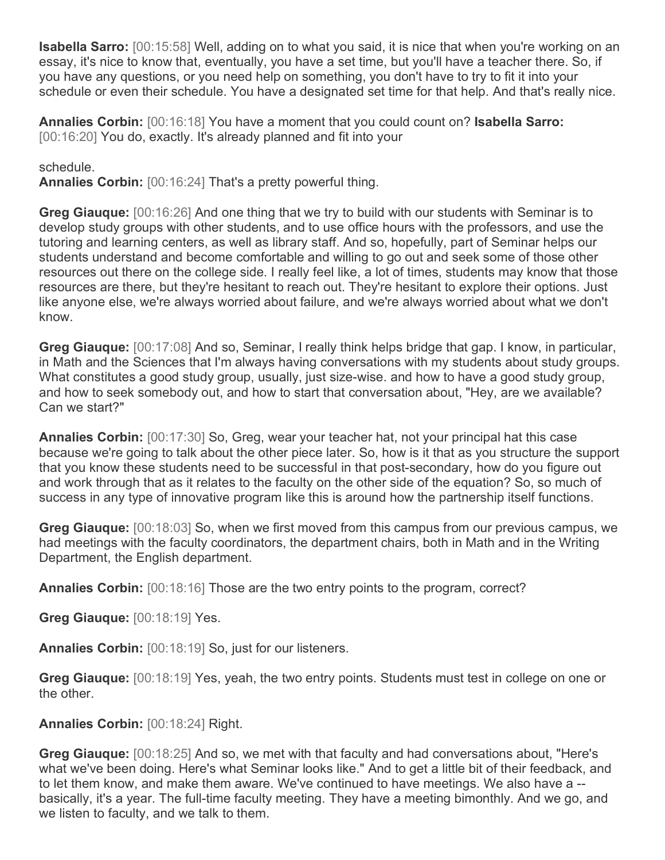**Isabella Sarro:** [00:15:58] Well, adding on to what you said, it is nice that when you're working on an essay, it's nice to know that, eventually, you have a set time, but you'll have a teacher there. So, if you have any questions, or you need help on something, you don't have to try to fit it into your schedule or even their schedule. You have a designated set time for that help. And that's really nice.

**Annalies Corbin:** [00:16:18] You have a moment that you could count on? **Isabella Sarro:**  [00:16:20] You do, exactly. It's already planned and fit into your

schedule.

**Annalies Corbin:** [00:16:24] That's a pretty powerful thing.

**Greg Giauque:** [00:16:26] And one thing that we try to build with our students with Seminar is to develop study groups with other students, and to use office hours with the professors, and use the tutoring and learning centers, as well as library staff. And so, hopefully, part of Seminar helps our students understand and become comfortable and willing to go out and seek some of those other resources out there on the college side. I really feel like, a lot of times, students may know that those resources are there, but they're hesitant to reach out. They're hesitant to explore their options. Just like anyone else, we're always worried about failure, and we're always worried about what we don't know.

**Greg Giauque:** [00:17:08] And so, Seminar, I really think helps bridge that gap. I know, in particular, in Math and the Sciences that I'm always having conversations with my students about study groups. What constitutes a good study group, usually, just size-wise, and how to have a good study group, and how to seek somebody out, and how to start that conversation about, "Hey, are we available? Can we start?"

**Annalies Corbin:** [00:17:30] So, Greg, wear your teacher hat, not your principal hat this case because we're going to talk about the other piece later. So, how is it that as you structure the support that you know these students need to be successful in that post-secondary, how do you figure out and work through that as it relates to the faculty on the other side of the equation? So, so much of success in any type of innovative program like this is around how the partnership itself functions.

**Greg Giauque:** [00:18:03] So, when we first moved from this campus from our previous campus, we had meetings with the faculty coordinators, the department chairs, both in Math and in the Writing Department, the English department.

**Annalies Corbin:** [00:18:16] Those are the two entry points to the program, correct?

**Greg Giauque:** [00:18:19] Yes.

**Annalies Corbin:** [00:18:19] So, just for our listeners.

**Greg Giauque:** [00:18:19] Yes, yeah, the two entry points. Students must test in college on one or the other.

## **Annalies Corbin:** [00:18:24] Right.

**Greg Giauque:** [00:18:25] And so, we met with that faculty and had conversations about, "Here's what we've been doing. Here's what Seminar looks like." And to get a little bit of their feedback, and to let them know, and make them aware. We've continued to have meetings. We also have a - basically, it's a year. The full-time faculty meeting. They have a meeting bimonthly. And we go, and we listen to faculty, and we talk to them.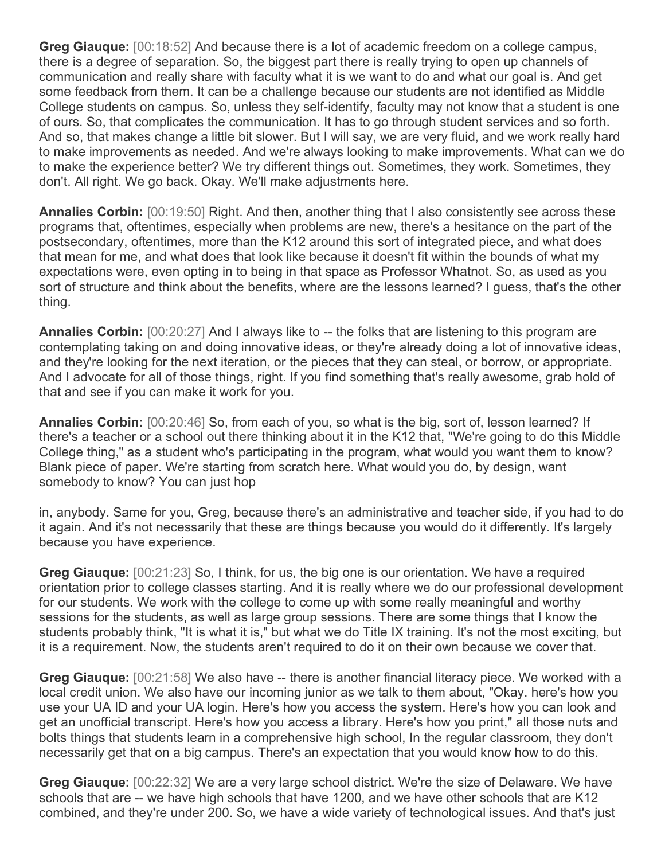**Greg Giauque:** [00:18:52] And because there is a lot of academic freedom on a college campus, there is a degree of separation. So, the biggest part there is really trying to open up channels of communication and really share with faculty what it is we want to do and what our goal is. And get some feedback from them. It can be a challenge because our students are not identified as Middle College students on campus. So, unless they self-identify, faculty may not know that a student is one of ours. So, that complicates the communication. It has to go through student services and so forth. And so, that makes change a little bit slower. But I will say, we are very fluid, and we work really hard to make improvements as needed. And we're always looking to make improvements. What can we do to make the experience better? We try different things out. Sometimes, they work. Sometimes, they don't. All right. We go back. Okay. We'll make adjustments here.

**Annalies Corbin:** [00:19:50] Right. And then, another thing that I also consistently see across these programs that, oftentimes, especially when problems are new, there's a hesitance on the part of the postsecondary, oftentimes, more than the K12 around this sort of integrated piece, and what does that mean for me, and what does that look like because it doesn't fit within the bounds of what my expectations were, even opting in to being in that space as Professor Whatnot. So, as used as you sort of structure and think about the benefits, where are the lessons learned? I guess, that's the other thing.

**Annalies Corbin:** [00:20:27] And I always like to -- the folks that are listening to this program are contemplating taking on and doing innovative ideas, or they're already doing a lot of innovative ideas, and they're looking for the next iteration, or the pieces that they can steal, or borrow, or appropriate. And I advocate for all of those things, right. If you find something that's really awesome, grab hold of that and see if you can make it work for you.

**Annalies Corbin:** [00:20:46] So, from each of you, so what is the big, sort of, lesson learned? If there's a teacher or a school out there thinking about it in the K12 that, "We're going to do this Middle College thing," as a student who's participating in the program, what would you want them to know? Blank piece of paper. We're starting from scratch here. What would you do, by design, want somebody to know? You can just hop

in, anybody. Same for you, Greg, because there's an administrative and teacher side, if you had to do it again. And it's not necessarily that these are things because you would do it differently. It's largely because you have experience.

**Greg Giauque:** [00:21:23] So, I think, for us, the big one is our orientation. We have a required orientation prior to college classes starting. And it is really where we do our professional development for our students. We work with the college to come up with some really meaningful and worthy sessions for the students, as well as large group sessions. There are some things that I know the students probably think, "It is what it is," but what we do Title IX training. It's not the most exciting, but it is a requirement. Now, the students aren't required to do it on their own because we cover that.

**Greg Giauque:** [00:21:58] We also have -- there is another financial literacy piece. We worked with a local credit union. We also have our incoming junior as we talk to them about, "Okay. here's how you use your UA ID and your UA login. Here's how you access the system. Here's how you can look and get an unofficial transcript. Here's how you access a library. Here's how you print," all those nuts and bolts things that students learn in a comprehensive high school, In the regular classroom, they don't necessarily get that on a big campus. There's an expectation that you would know how to do this.

**Greg Giauque:** [00:22:32] We are a very large school district. We're the size of Delaware. We have schools that are -- we have high schools that have 1200, and we have other schools that are K12 combined, and they're under 200. So, we have a wide variety of technological issues. And that's just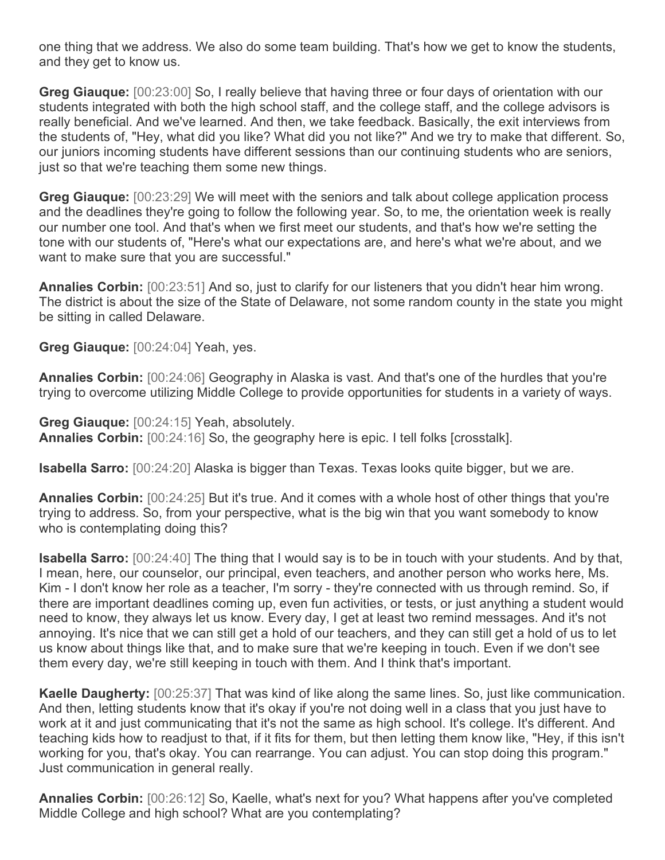one thing that we address. We also do some team building. That's how we get to know the students, and they get to know us.

**Greg Giauque:** [00:23:00] So, I really believe that having three or four days of orientation with our students integrated with both the high school staff, and the college staff, and the college advisors is really beneficial. And we've learned. And then, we take feedback. Basically, the exit interviews from the students of, "Hey, what did you like? What did you not like?" And we try to make that different. So, our juniors incoming students have different sessions than our continuing students who are seniors, just so that we're teaching them some new things.

**Greg Giauque:** [00:23:29] We will meet with the seniors and talk about college application process and the deadlines they're going to follow the following year. So, to me, the orientation week is really our number one tool. And that's when we first meet our students, and that's how we're setting the tone with our students of, "Here's what our expectations are, and here's what we're about, and we want to make sure that you are successful."

**Annalies Corbin:** [00:23:51] And so, just to clarify for our listeners that you didn't hear him wrong. The district is about the size of the State of Delaware, not some random county in the state you might be sitting in called Delaware.

**Greg Giauque:** [00:24:04] Yeah, yes.

**Annalies Corbin:** [00:24:06] Geography in Alaska is vast. And that's one of the hurdles that you're trying to overcome utilizing Middle College to provide opportunities for students in a variety of ways.

**Greg Giauque:** [00:24:15] Yeah, absolutely. **Annalies Corbin:** [00:24:16] So, the geography here is epic. I tell folks [crosstalk].

**Isabella Sarro:** [00:24:20] Alaska is bigger than Texas. Texas looks quite bigger, but we are.

**Annalies Corbin:** [00:24:25] But it's true. And it comes with a whole host of other things that you're trying to address. So, from your perspective, what is the big win that you want somebody to know who is contemplating doing this?

**Isabella Sarro:** [00:24:40] The thing that I would say is to be in touch with your students. And by that, I mean, here, our counselor, our principal, even teachers, and another person who works here, Ms. Kim - I don't know her role as a teacher, I'm sorry - they're connected with us through remind. So, if there are important deadlines coming up, even fun activities, or tests, or just anything a student would need to know, they always let us know. Every day, I get at least two remind messages. And it's not annoying. It's nice that we can still get a hold of our teachers, and they can still get a hold of us to let us know about things like that, and to make sure that we're keeping in touch. Even if we don't see them every day, we're still keeping in touch with them. And I think that's important.

**Kaelle Daugherty:** [00:25:37] That was kind of like along the same lines. So, just like communication. And then, letting students know that it's okay if you're not doing well in a class that you just have to work at it and just communicating that it's not the same as high school. It's college. It's different. And teaching kids how to readjust to that, if it fits for them, but then letting them know like, "Hey, if this isn't working for you, that's okay. You can rearrange. You can adjust. You can stop doing this program." Just communication in general really.

**Annalies Corbin:** [00:26:12] So, Kaelle, what's next for you? What happens after you've completed Middle College and high school? What are you contemplating?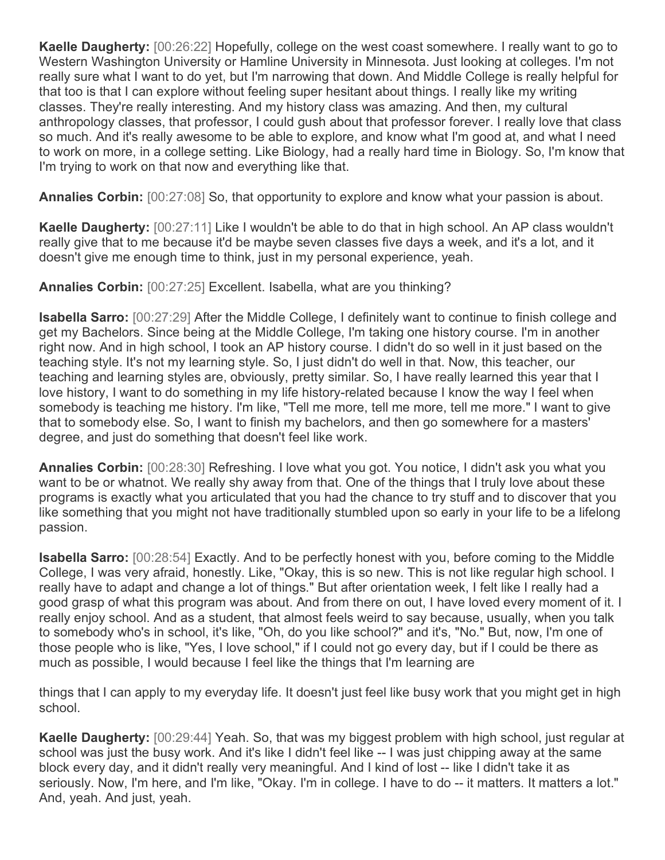**Kaelle Daugherty:** [00:26:22] Hopefully, college on the west coast somewhere. I really want to go to Western Washington University or Hamline University in Minnesota. Just looking at colleges. I'm not really sure what I want to do yet, but I'm narrowing that down. And Middle College is really helpful for that too is that I can explore without feeling super hesitant about things. I really like my writing classes. They're really interesting. And my history class was amazing. And then, my cultural anthropology classes, that professor, I could gush about that professor forever. I really love that class so much. And it's really awesome to be able to explore, and know what I'm good at, and what I need to work on more, in a college setting. Like Biology, had a really hard time in Biology. So, I'm know that I'm trying to work on that now and everything like that.

**Annalies Corbin:** [00:27:08] So, that opportunity to explore and know what your passion is about.

**Kaelle Daugherty:** [00:27:11] Like I wouldn't be able to do that in high school. An AP class wouldn't really give that to me because it'd be maybe seven classes five days a week, and it's a lot, and it doesn't give me enough time to think, just in my personal experience, yeah.

**Annalies Corbin:** [00:27:25] Excellent. Isabella, what are you thinking?

**Isabella Sarro:** [00:27:29] After the Middle College, I definitely want to continue to finish college and get my Bachelors. Since being at the Middle College, I'm taking one history course. I'm in another right now. And in high school, I took an AP history course. I didn't do so well in it just based on the teaching style. It's not my learning style. So, I just didn't do well in that. Now, this teacher, our teaching and learning styles are, obviously, pretty similar. So, I have really learned this year that I love history, I want to do something in my life history-related because I know the way I feel when somebody is teaching me history. I'm like, "Tell me more, tell me more, tell me more." I want to give that to somebody else. So, I want to finish my bachelors, and then go somewhere for a masters' degree, and just do something that doesn't feel like work.

**Annalies Corbin:** [00:28:30] Refreshing. I love what you got. You notice, I didn't ask you what you want to be or whatnot. We really shy away from that. One of the things that I truly love about these programs is exactly what you articulated that you had the chance to try stuff and to discover that you like something that you might not have traditionally stumbled upon so early in your life to be a lifelong passion.

**Isabella Sarro:** [00:28:54] Exactly. And to be perfectly honest with you, before coming to the Middle College, I was very afraid, honestly. Like, "Okay, this is so new. This is not like regular high school. I really have to adapt and change a lot of things." But after orientation week, I felt like I really had a good grasp of what this program was about. And from there on out, I have loved every moment of it. I really enjoy school. And as a student, that almost feels weird to say because, usually, when you talk to somebody who's in school, it's like, "Oh, do you like school?" and it's, "No." But, now, I'm one of those people who is like, "Yes, I love school," if I could not go every day, but if I could be there as much as possible, I would because I feel like the things that I'm learning are

things that I can apply to my everyday life. It doesn't just feel like busy work that you might get in high school.

**Kaelle Daugherty:** [00:29:44] Yeah. So, that was my biggest problem with high school, just regular at school was just the busy work. And it's like I didn't feel like -- I was just chipping away at the same block every day, and it didn't really very meaningful. And I kind of lost -- like I didn't take it as seriously. Now, I'm here, and I'm like, "Okay. I'm in college. I have to do -- it matters. It matters a lot." And, yeah. And just, yeah.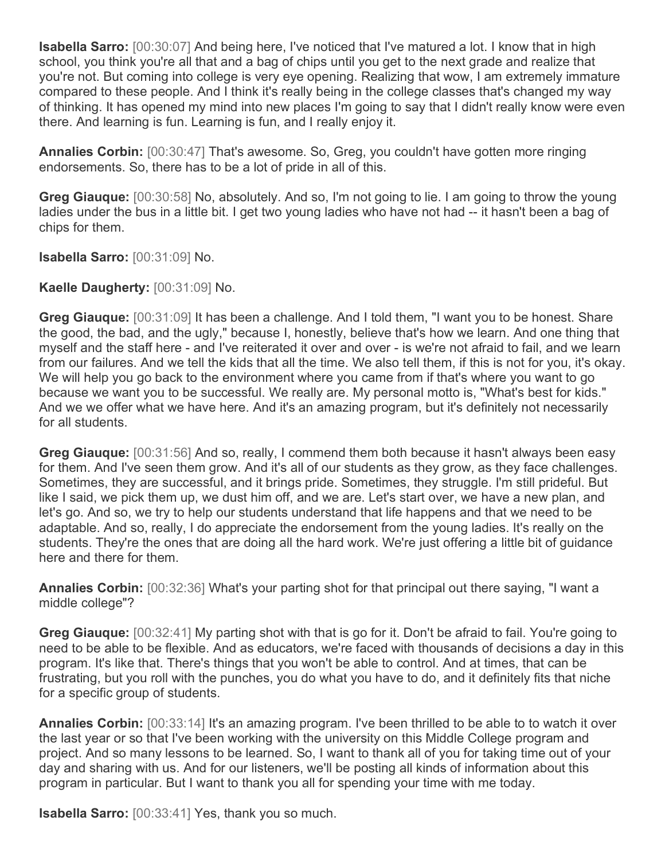**Isabella Sarro:** [00:30:07] And being here, I've noticed that I've matured a lot. I know that in high school, you think you're all that and a bag of chips until you get to the next grade and realize that you're not. But coming into college is very eye opening. Realizing that wow, I am extremely immature compared to these people. And I think it's really being in the college classes that's changed my way of thinking. It has opened my mind into new places I'm going to say that I didn't really know were even there. And learning is fun. Learning is fun, and I really enjoy it.

**Annalies Corbin:** [00:30:47] That's awesome. So, Greg, you couldn't have gotten more ringing endorsements. So, there has to be a lot of pride in all of this.

**Greg Giauque:** [00:30:58] No, absolutely. And so, I'm not going to lie. I am going to throw the young ladies under the bus in a little bit. I get two young ladies who have not had -- it hasn't been a bag of chips for them.

**Isabella Sarro:** [00:31:09] No.

**Kaelle Daugherty:** [00:31:09] No.

**Greg Giauque:** [00:31:09] It has been a challenge. And I told them, "I want you to be honest. Share the good, the bad, and the ugly," because I, honestly, believe that's how we learn. And one thing that myself and the staff here - and I've reiterated it over and over - is we're not afraid to fail, and we learn from our failures. And we tell the kids that all the time. We also tell them, if this is not for you, it's okay. We will help you go back to the environment where you came from if that's where you want to go because we want you to be successful. We really are. My personal motto is, "What's best for kids." And we we offer what we have here. And it's an amazing program, but it's definitely not necessarily for all students.

**Greg Giauque:** [00:31:56] And so, really, I commend them both because it hasn't always been easy for them. And I've seen them grow. And it's all of our students as they grow, as they face challenges. Sometimes, they are successful, and it brings pride. Sometimes, they struggle. I'm still prideful. But like I said, we pick them up, we dust him off, and we are. Let's start over, we have a new plan, and let's go. And so, we try to help our students understand that life happens and that we need to be adaptable. And so, really, I do appreciate the endorsement from the young ladies. It's really on the students. They're the ones that are doing all the hard work. We're just offering a little bit of guidance here and there for them.

**Annalies Corbin:** [00:32:36] What's your parting shot for that principal out there saying, "I want a middle college"?

**Greg Giauque:** [00:32:41] My parting shot with that is go for it. Don't be afraid to fail. You're going to need to be able to be flexible. And as educators, we're faced with thousands of decisions a day in this program. It's like that. There's things that you won't be able to control. And at times, that can be frustrating, but you roll with the punches, you do what you have to do, and it definitely fits that niche for a specific group of students.

**Annalies Corbin:** [00:33:14] It's an amazing program. I've been thrilled to be able to to watch it over the last year or so that I've been working with the university on this Middle College program and project. And so many lessons to be learned. So, I want to thank all of you for taking time out of your day and sharing with us. And for our listeners, we'll be posting all kinds of information about this program in particular. But I want to thank you all for spending your time with me today.

**Isabella Sarro:** [00:33:41] Yes, thank you so much.